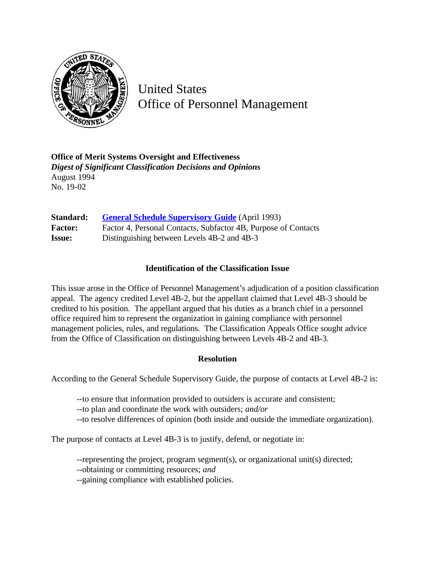

United States Office of Personnel Management

**Office of Merit Systems Oversight and Effectiveness** *Digest of Significant Classification Decisions and Opinions* August 1994 No. 19-02

| Standard:      | <b>General Schedule Supervisory Guide</b> (April 1993)         |
|----------------|----------------------------------------------------------------|
| <b>Factor:</b> | Factor 4, Personal Contacts, Subfactor 4B, Purpose of Contacts |
| <b>Issue:</b>  | Distinguishing between Levels 4B-2 and 4B-3                    |

## **Identification of the Classification Issue**

This issue arose in the Office of Personnel Management's adjudication of a position classification appeal. The agency credited Level 4B-2, but the appellant claimed that Level 4B-3 should be credited to his position. The appellant argued that his duties as a branch chief in a personnel office required him to represent the organization in gaining compliance with personnel management policies, rules, and regulations. The Classification Appeals Office sought advice from the Office of Classification on distinguishing between Levels 4B-2 and 4B-3.

## **Resolution**

According to the General Schedule Supervisory Guide, the purpose of contacts at Level 4B-2 is:

--to ensure that information provided to outsiders is accurate and consistent;

--to plan and coordinate the work with outsiders; *and/or*

--to resolve differences of opinion (both inside and outside the immediate organization).

The purpose of contacts at Level 4B-3 is to justify, defend, or negotiate in:

--representing the project, program segment(s), or organizational unit(s) directed;

--obtaining or committing resources; *and*

--gaining compliance with established policies.